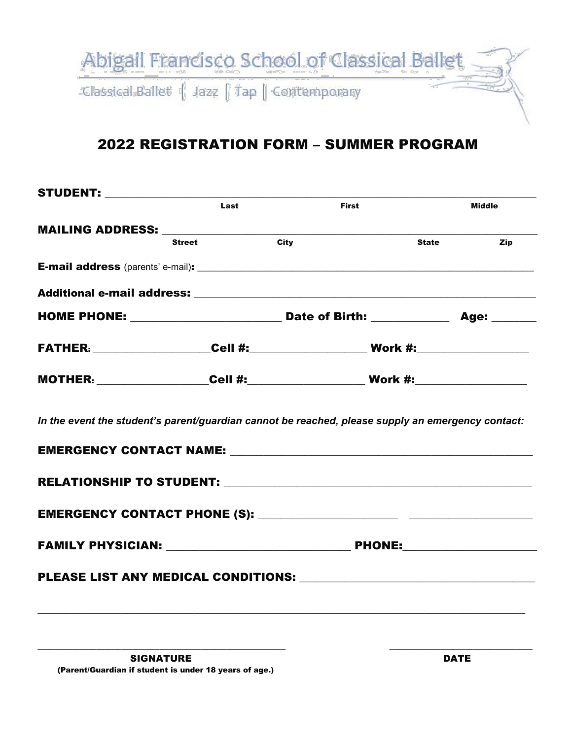

## 2022 REGISTRATION FORM – SUMMER PROGRAM

| Last          | <b>First</b>                                                                                      | <b>Middle</b>       |
|---------------|---------------------------------------------------------------------------------------------------|---------------------|
|               |                                                                                                   |                     |
| <b>Street</b> | <b>City</b>                                                                                       | <b>State</b><br>Zip |
|               |                                                                                                   |                     |
|               |                                                                                                   |                     |
|               |                                                                                                   |                     |
|               |                                                                                                   |                     |
|               |                                                                                                   |                     |
|               | In the event the student's parent/guardian cannot be reached, please supply an emergency contact: |                     |
|               |                                                                                                   |                     |
|               |                                                                                                   |                     |
|               |                                                                                                   |                     |
|               |                                                                                                   |                     |
|               |                                                                                                   |                     |

 $\_$  ,  $\_$  ,  $\_$  ,  $\_$  ,  $\_$  ,  $\_$  ,  $\_$  ,  $\_$  ,  $\_$  ,  $\_$  ,  $\_$  ,  $\_$  ,  $\_$  ,  $\_$  ,  $\_$  ,  $\_$  ,  $\_$  ,  $\_$  ,  $\_$  ,  $\_$  ,  $\_$  ,  $\_$  ,  $\_$  ,  $\_$  ,  $\_$  ,  $\_$  ,  $\_$  ,  $\_$  ,  $\_$  ,  $\_$  ,  $\_$  ,  $\_$  ,  $\_$  ,  $\_$  ,  $\_$  ,  $\_$  ,  $\_$  ,